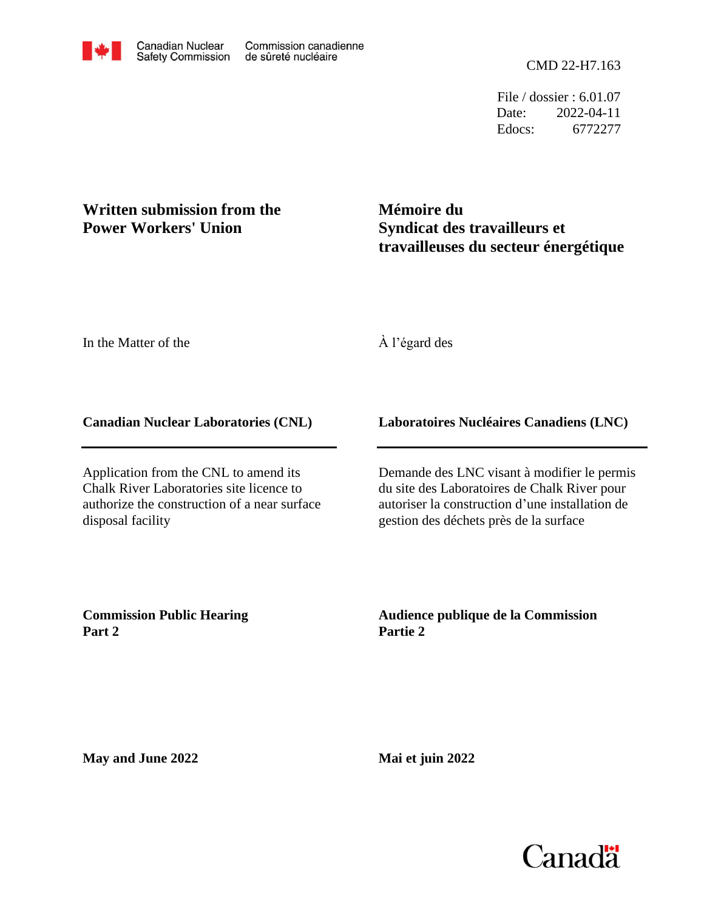File / dossier : 6.01.07 Date: 2022-04-11 Edocs: 6772277

# **Written submission from the Power Workers' Union**

**Mémoire du Syndicat des travailleurs et travailleuses du secteur énergétique**

In the Matter of the

À l'égard des

#### **Canadian Nuclear Laboratories (CNL)**

Application from the CNL to amend its Chalk River Laboratories site licence to authorize the construction of a near surface disposal facility

## **Laboratoires Nucléaires Canadiens (LNC)**

Demande des LNC visant à modifier le permis du site des Laboratoires de Chalk River pour autoriser la construction d'une installation de gestion des déchets près de la surface

**Commission Public Hearing Part 2**

**Audience publique de la Commission Partie 2**

**May and June 2022**

**Mai et juin 2022**

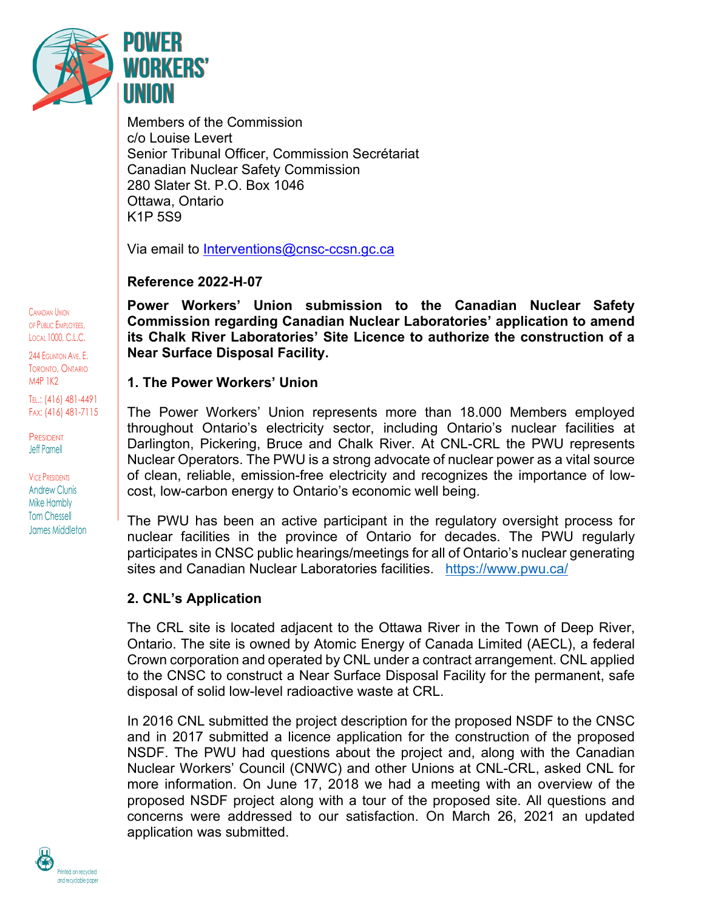

Members of the Commission c/o Louise Levert Senior Tribunal Officer, Commission Secrétariat Canadian Nuclear Safety Commission 280 Slater St. P.O. Box 1046 Ottawa, Ontario K1P 5S9

Via email to [Interventions@cnsc-ccsn.gc.ca](mailto:Interventions@cnsc-ccsn.gc.ca)

## **Reference 2022-H-07**

**Power Workers' Union submission to the Canadian Nuclear Safety Commission regarding Canadian Nuclear Laboratories' application to amend its Chalk River Laboratories' Site Licence to authorize the construction of a Near Surface Disposal Facility.** 

## **1. The Power Workers' Union**

The Power Workers' Union represents more than 18.000 Members employed throughout Ontario's electricity sector, including Ontario's nuclear facilities at Darlington, Pickering, Bruce and Chalk River. At CNL-CRL the PWU represents Nuclear Operators. The PWU is a strong advocate of nuclear power as a vital source of clean, reliable, emission-free electricity and recognizes the importance of lowcost, low-carbon energy to Ontario's economic well being.

The PWU has been an active participant in the regulatory oversight process for nuclear facilities in the province of Ontario for decades. The PWU regularly participates in CNSC public hearings/meetings for all of Ontario's nuclear generating sites and Canadian Nuclear Laboratories facilities. https://www.pwu.ca/

## **2. CNL's Application**

The CRL site is located adjacent to the Ottawa River in the Town of Deep River, Ontario. The site is owned by Atomic Energy of Canada Limited (AECL), a federal Crown corporation and operated by CNL under a contract arrangement. CNL applied to the CNSC to construct a Near Surface Disposal Facility for the permanent, safe disposal of solid low-level radioactive waste at CRL.

In 2016 CNL submitted the project description for the proposed NSDF to the CNSC and in 2017 submitted a licence application for the construction of the proposed NSDF. The PWU had questions about the project and, along with the Canadian Nuclear Workers' Council (CNWC) and other Unions at CNL-CRL, asked CNL for more information. On June 17, 2018 we had a meeting with an overview of the proposed NSDF project along with a tour of the proposed site. All questions and concerns were addressed to our satisfaction. On March 26, 2021 an updated application was submitted.

CANADIAN UNION OF PUBLIC EMPLOYEES, LOCAL 1000, C.L.C.

244 EGLINTON AVE. E. TORONTO, ONTARIO M4P 1K2

TEL.: (416) 481-4491 FAX: (416) 481-7115

PRESIDENT Jeff Parnell

VICE PRESIDENTS Andrew Clunis Mike Hambly Tom Chessell James Middleton

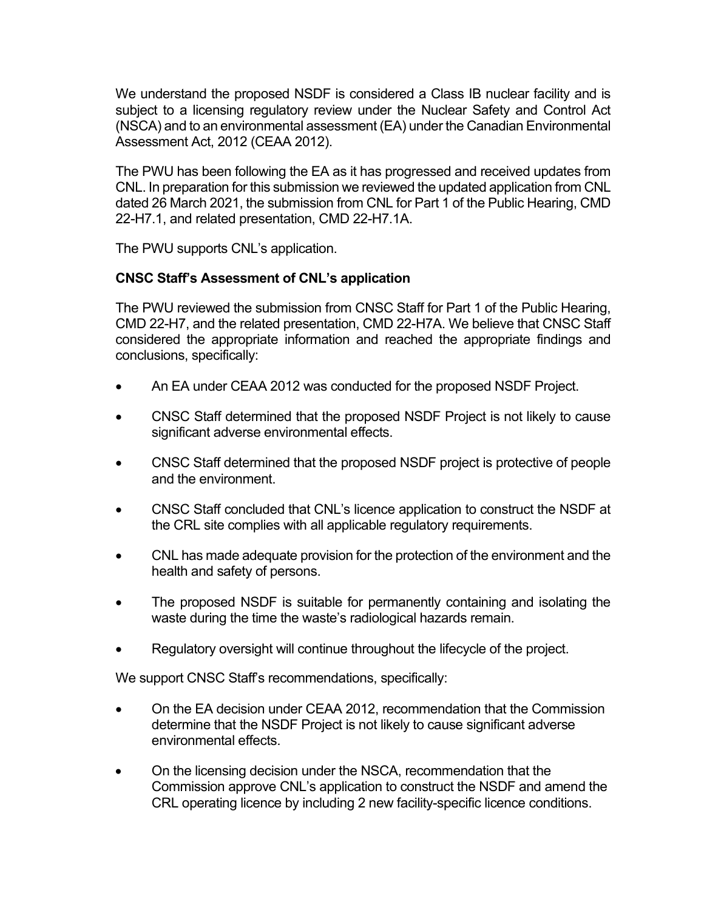We understand the proposed NSDF is considered a Class IB nuclear facility and is subject to a licensing regulatory review under the Nuclear Safety and Control Act (NSCA) and to an environmental assessment (EA) under the Canadian Environmental Assessment Act, 2012 (CEAA 2012).

The PWU has been following the EA as it has progressed and received updates from CNL. In preparation for this submission we reviewed the updated application from CNL dated 26 March 2021, the submission from CNL for Part 1 of the Public Hearing, CMD 22-H7.1, and related presentation, CMD 22-H7.1A.

The PWU supports CNL's application.

#### **CNSC Staff's Assessment of CNL's application**

The PWU reviewed the submission from CNSC Staff for Part 1 of the Public Hearing, CMD 22-H7, and the related presentation, CMD 22-H7A. We believe that CNSC Staff considered the appropriate information and reached the appropriate findings and conclusions, specifically:

- An EA under CEAA 2012 was conducted for the proposed NSDF Project.
- CNSC Staff determined that the proposed NSDF Project is not likely to cause significant adverse environmental effects.
- CNSC Staff determined that the proposed NSDF project is protective of people and the environment.
- CNSC Staff concluded that CNL's licence application to construct the NSDF at the CRL site complies with all applicable regulatory requirements.
- CNL has made adequate provision for the protection of the environment and the health and safety of persons.
- The proposed NSDF is suitable for permanently containing and isolating the waste during the time the waste's radiological hazards remain.
- Regulatory oversight will continue throughout the lifecycle of the project.

We support CNSC Staff's recommendations, specifically:

- On the EA decision under CEAA 2012, recommendation that the Commission determine that the NSDF Project is not likely to cause significant adverse environmental effects.
- On the licensing decision under the NSCA, recommendation that the Commission approve CNL's application to construct the NSDF and amend the CRL operating licence by including 2 new facility-specific licence conditions.